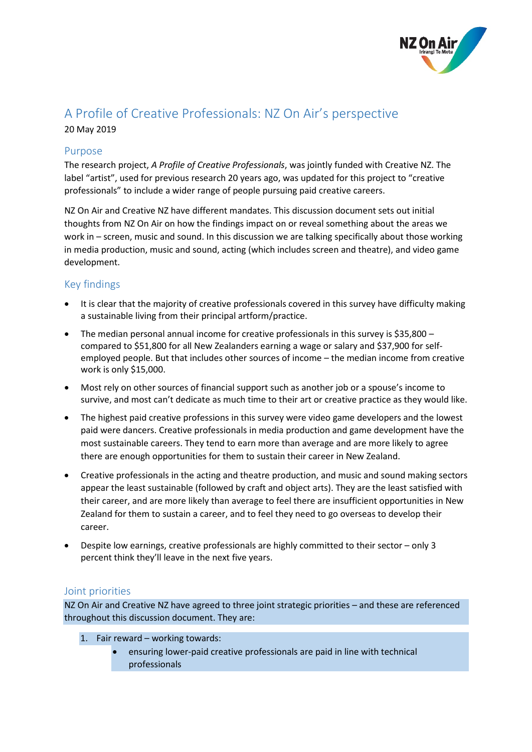

# A Profile of Creative Professionals: NZ On Air's perspective 20 May 2019

## Purpose

The research project, *A Profile of Creative Professionals*, was jointly funded with Creative NZ. The label "artist", used for previous research 20 years ago, was updated for this project to "creative professionals" to include a wider range of people pursuing paid creative careers.

NZ On Air and Creative NZ have different mandates. This discussion document sets out initial thoughts from NZ On Air on how the findings impact on or reveal something about the areas we work in – screen, music and sound. In this discussion we are talking specifically about those working in media production, music and sound, acting (which includes screen and theatre), and video game development.

## Key findings

- It is clear that the majority of creative professionals covered in this survey have difficulty making a sustainable living from their principal artform/practice.
- The median personal annual income for creative professionals in this survey is \$35,800 compared to \$51,800 for all New Zealanders earning a wage or salary and \$37,900 for selfemployed people. But that includes other sources of income – the median income from creative work is only \$15,000.
- Most rely on other sources of financial support such as another job or a spouse's income to survive, and most can't dedicate as much time to their art or creative practice as they would like.
- The highest paid creative professions in this survey were video game developers and the lowest paid were dancers. Creative professionals in media production and game development have the most sustainable careers. They tend to earn more than average and are more likely to agree there are enough opportunities for them to sustain their career in New Zealand.
- Creative professionals in the acting and theatre production, and music and sound making sectors appear the least sustainable (followed by craft and object arts). They are the least satisfied with their career, and are more likely than average to feel there are insufficient opportunities in New Zealand for them to sustain a career, and to feel they need to go overseas to develop their career.
- Despite low earnings, creative professionals are highly committed to their sector only 3 percent think they'll leave in the next five years.

## Joint priorities

NZ On Air and Creative NZ have agreed to three joint strategic priorities – and these are referenced throughout this discussion document. They are:

- 1. Fair reward working towards:
	- ensuring lower-paid creative professionals are paid in line with technical professionals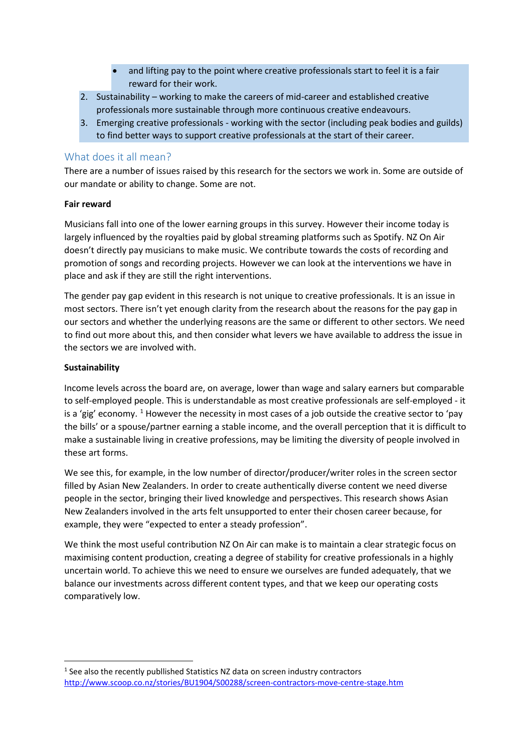- and lifting pay to the point where creative professionals start to feel it is a fair reward for their work.
- 2. Sustainability working to make the careers of mid-career and established creative professionals more sustainable through more continuous creative endeavours.
- 3. Emerging creative professionals working with the sector (including peak bodies and guilds) to find better ways to support creative professionals at the start of their career.

## What does it all mean?

There are a number of issues raised by this research for the sectors we work in. Some are outside of our mandate or ability to change. Some are not.

#### **Fair reward**

Musicians fall into one of the lower earning groups in this survey. However their income today is largely influenced by the royalties paid by global streaming platforms such as Spotify. NZ On Air doesn't directly pay musicians to make music. We contribute towards the costs of recording and promotion of songs and recording projects. However we can look at the interventions we have in place and ask if they are still the right interventions.

The gender pay gap evident in this research is not unique to creative professionals. It is an issue in most sectors. There isn't yet enough clarity from the research about the reasons for the pay gap in our sectors and whether the underlying reasons are the same or different to other sectors. We need to find out more about this, and then consider what levers we have available to address the issue in the sectors we are involved with.

### **Sustainability**

Income levels across the board are, on average, lower than wage and salary earners but comparable to self-employed people. This is understandable as most creative professionals are self-employed - it is a 'gig' economy. <sup>[1](#page-1-0)</sup> However the necessity in most cases of a job outside the creative sector to 'pay the bills' or a spouse/partner earning a stable income, and the overall perception that it is difficult to make a sustainable living in creative professions, may be limiting the diversity of people involved in these art forms.

We see this, for example, in the low number of director/producer/writer roles in the screen sector filled by Asian New Zealanders. In order to create authentically diverse content we need diverse people in the sector, bringing their lived knowledge and perspectives. This research shows Asian New Zealanders involved in the arts felt unsupported to enter their chosen career because, for example, they were "expected to enter a steady profession".

We think the most useful contribution NZ On Air can make is to maintain a clear strategic focus on maximising content production, creating a degree of stability for creative professionals in a highly uncertain world. To achieve this we need to ensure we ourselves are funded adequately, that we balance our investments across different content types, and that we keep our operating costs comparatively low.

<span id="page-1-0"></span><sup>&</sup>lt;sup>1</sup> See also the recently publlished Statistics NZ data on screen industry contractors <http://www.scoop.co.nz/stories/BU1904/S00288/screen-contractors-move-centre-stage.htm>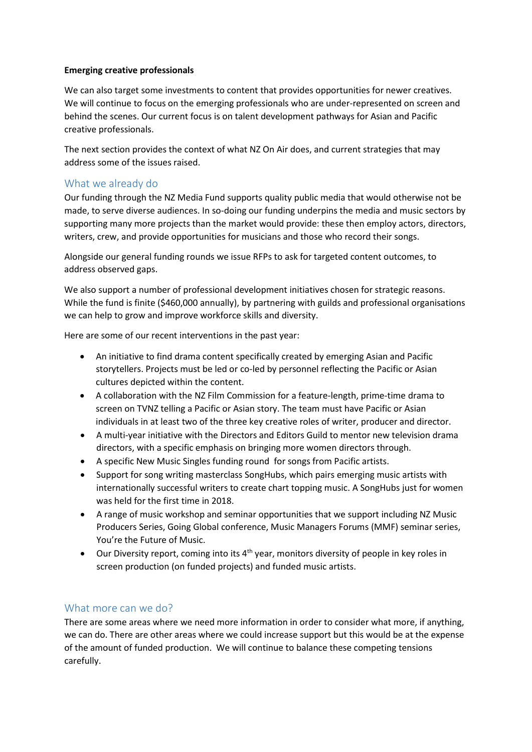### **Emerging creative professionals**

We can also target some investments to content that provides opportunities for newer creatives. We will continue to focus on the emerging professionals who are under-represented on screen and behind the scenes. Our current focus is on talent development pathways for Asian and Pacific creative professionals.

The next section provides the context of what NZ On Air does, and current strategies that may address some of the issues raised.

## What we already do

Our funding through the NZ Media Fund supports quality public media that would otherwise not be made, to serve diverse audiences. In so-doing our funding underpins the media and music sectors by supporting many more projects than the market would provide: these then employ actors, directors, writers, crew, and provide opportunities for musicians and those who record their songs.

Alongside our general funding rounds we issue RFPs to ask for targeted content outcomes, to address observed gaps.

We also support a number of professional development initiatives chosen for strategic reasons. While the fund is finite (\$460,000 annually), by partnering with guilds and professional organisations we can help to grow and improve workforce skills and diversity.

Here are some of our recent interventions in the past year:

- An initiative to find drama content specifically created by emerging Asian and Pacific storytellers. Projects must be led or co-led by personnel reflecting the Pacific or Asian cultures depicted within the content.
- A collaboration with the NZ Film Commission for a feature-length, prime-time drama to screen on TVNZ telling a Pacific or Asian story. The team must have Pacific or Asian individuals in at least two of the three key creative roles of writer, producer and director.
- A multi-year initiative with the Directors and Editors Guild to mentor new television drama directors, with a specific emphasis on bringing more women directors through.
- A specific New Music Singles funding round for songs from Pacific artists.
- Support for song writing masterclass SongHubs, which pairs emerging music artists with internationally successful writers to create chart topping music. A SongHubs just for women was held for the first time in 2018.
- A range of music workshop and seminar opportunities that we support including NZ Music Producers Series, Going Global conference, Music Managers Forums (MMF) seminar series, You're the Future of Music.
- Our Diversity report, coming into its  $4<sup>th</sup>$  year, monitors diversity of people in key roles in screen production (on funded projects) and funded music artists.

# What more can we do?

There are some areas where we need more information in order to consider what more, if anything, we can do. There are other areas where we could increase support but this would be at the expense of the amount of funded production. We will continue to balance these competing tensions carefully.